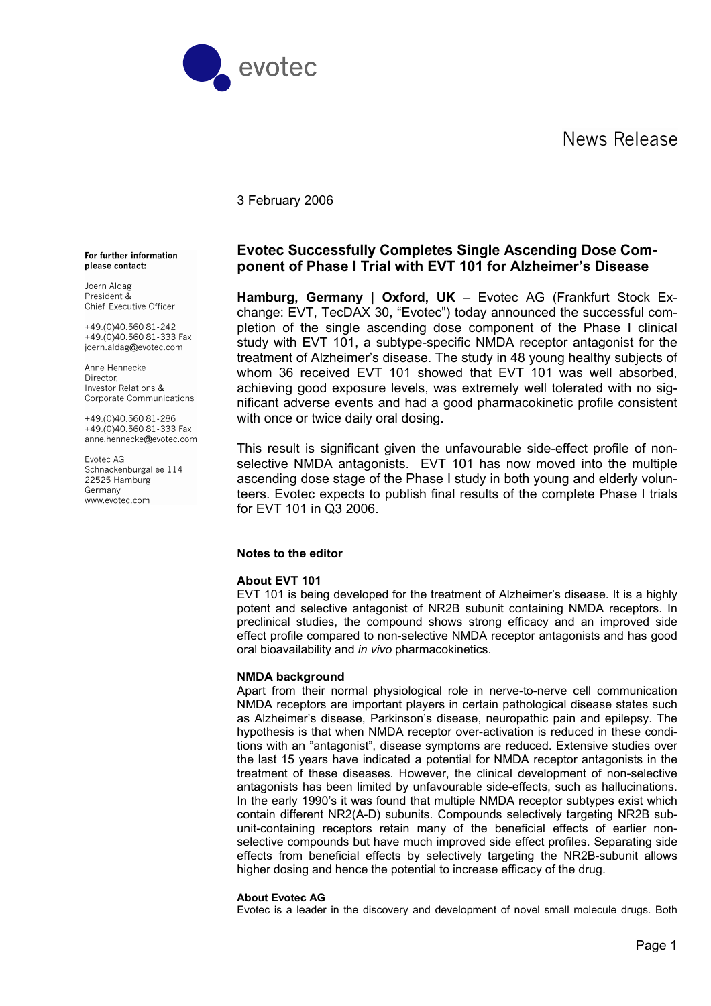News Release



## 3 February 2006

## **Evotec Successfully Completes Single Ascending Dose Component of Phase I Trial with EVT 101 for Alzheimer's Disease**

**Hamburg, Germany | Oxford, UK** – Evotec AG (Frankfurt Stock Exchange: EVT, TecDAX 30, "Evotec") today announced the successful completion of the single ascending dose component of the Phase I clinical study with EVT 101, a subtype-specific NMDA receptor antagonist for the treatment of Alzheimer's disease. The study in 48 young healthy subjects of whom 36 received EVT 101 showed that EVT 101 was well absorbed, achieving good exposure levels, was extremely well tolerated with no significant adverse events and had a good pharmacokinetic profile consistent with once or twice daily oral dosing.

This result is significant given the unfavourable side-effect profile of nonselective NMDA antagonists. EVT 101 has now moved into the multiple ascending dose stage of the Phase I study in both young and elderly volunteers. Evotec expects to publish final results of the complete Phase I trials for EVT 101 in Q3 2006.

#### **Notes to the editor**

#### **About EVT 101**

EVT 101 is being developed for the treatment of Alzheimer's disease. It is a highly potent and selective antagonist of NR2B subunit containing NMDA receptors. In preclinical studies, the compound shows strong efficacy and an improved side effect profile compared to non-selective NMDA receptor antagonists and has good oral bioavailability and *in vivo* pharmacokinetics.

### **NMDA background**

Apart from their normal physiological role in nerve-to-nerve cell communication NMDA receptors are important players in certain pathological disease states such as Alzheimer's disease, Parkinson's disease, neuropathic pain and epilepsy. The hypothesis is that when NMDA receptor over-activation is reduced in these conditions with an "antagonist", disease symptoms are reduced. Extensive studies over the last 15 years have indicated a potential for NMDA receptor antagonists in the treatment of these diseases. However, the clinical development of non-selective antagonists has been limited by unfavourable side-effects, such as hallucinations. In the early 1990's it was found that multiple NMDA receptor subtypes exist which contain different NR2(A-D) subunits. Compounds selectively targeting NR2B subunit-containing receptors retain many of the beneficial effects of earlier nonselective compounds but have much improved side effect profiles. Separating side effects from beneficial effects by selectively targeting the NR2B-subunit allows higher dosing and hence the potential to increase efficacy of the drug.

#### **About Evotec AG**

Evotec is a leader in the discovery and development of novel small molecule drugs. Both

For further information please contact:

Joern Aldag President & Chief Executive Officer

 $+49(0)4056081-242$ +49.(0)40.560 81-333 Fax joern.aldag@evotec.com

Anne Hennecke Director. Investor Relations & Corporate Communications

+49.(0)40.560 81-286 +49.(0)40.560 81-333 Fax anne.hennecke@evotec.com

Evotec AG Schnackenburgallee 114 22525 Hamburg Germany www.evotec.com